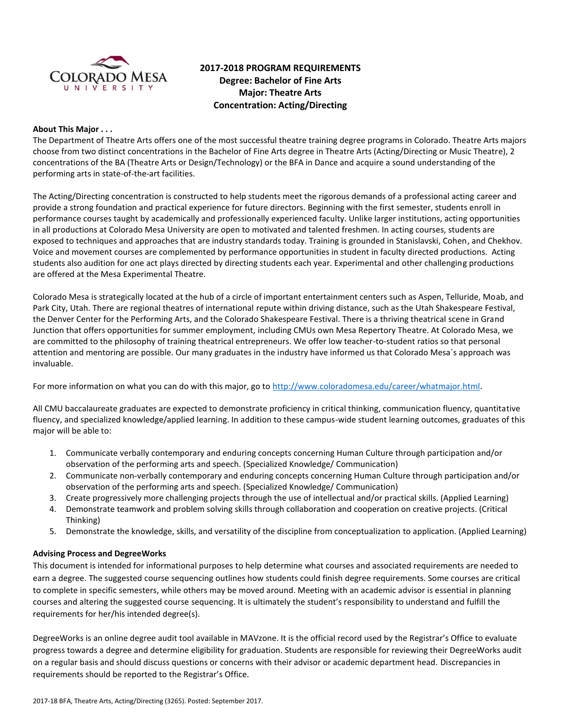

# **2017-2018 PROGRAM REQUIREMENTS Degree: Bachelor of Fine Arts Major: Theatre Arts Concentration: Acting/Directing**

#### **About This Major . . .**

The Department of Theatre Arts offers one of the most successful theatre training degree programs in Colorado. Theatre Arts majors choose from two distinct concentrations in the Bachelor of Fine Arts degree in Theatre Arts (Acting/Directing or Music Theatre), 2 concentrations of the BA (Theatre Arts or Design/Technology) or the BFA in Dance and acquire a sound understanding of the performing arts in state-of-the-art facilities.

The Acting/Directing concentration is constructed to help students meet the rigorous demands of a professional acting career and provide a strong foundation and practical experience for future directors. Beginning with the first semester, students enroll in performance courses taught by academically and professionally experienced faculty. Unlike larger institutions, acting opportunities in all productions at Colorado Mesa University are open to motivated and talented freshmen. In acting courses, students are exposed to techniques and approaches that are industry standards today. Training is grounded in Stanislavski, Cohen, and Chekhov. Voice and movement courses are complemented by performance opportunities in student in faculty directed productions. Acting students also audition for one act plays directed by directing students each year. Experimental and other challenging productions are offered at the Mesa Experimental Theatre.

Colorado Mesa is strategically located at the hub of a circle of important entertainment centers such as Aspen, Telluride, Moab, and Park City, Utah. There are regional theatres of international repute within driving distance, such as the Utah Shakespeare Festival, the Denver Center for the Performing Arts, and the Colorado Shakespeare Festival. There is a thriving theatrical scene in Grand Junction that offers opportunities for summer employment, including CMUs own Mesa Repertory Theatre. At Colorado Mesa, we are committed to the philosophy of training theatrical entrepreneurs. We offer low teacher-to-student ratios so that personal attention and mentoring are possible. Our many graduates in the industry have informed us that Colorado Mesa´s approach was invaluable.

For more information on what you can do with this major, go to [http://www.coloradomesa.edu/career/whatmajor.html.](http://www.coloradomesa.edu/career/whatmajor.html)

All CMU baccalaureate graduates are expected to demonstrate proficiency in critical thinking, communication fluency, quantitative fluency, and specialized knowledge/applied learning. In addition to these campus-wide student learning outcomes, graduates of this major will be able to:

- 1. Communicate verbally contemporary and enduring concepts concerning Human Culture through participation and/or observation of the performing arts and speech. (Specialized Knowledge/ Communication)
- 2. Communicate non-verbally contemporary and enduring concepts concerning Human Culture through participation and/or observation of the performing arts and speech. (Specialized Knowledge/ Communication)
- 3. Create progressively more challenging projects through the use of intellectual and/or practical skills. (Applied Learning)
- 4. Demonstrate teamwork and problem solving skills through collaboration and cooperation on creative projects. (Critical Thinking)
- 5. Demonstrate the knowledge, skills, and versatility of the discipline from conceptualization to application. (Applied Learning)

# **Advising Process and DegreeWorks**

This document is intended for informational purposes to help determine what courses and associated requirements are needed to earn a degree. The suggested course sequencing outlines how students could finish degree requirements. Some courses are critical to complete in specific semesters, while others may be moved around. Meeting with an academic advisor is essential in planning courses and altering the suggested course sequencing. It is ultimately the student's responsibility to understand and fulfill the requirements for her/his intended degree(s).

DegreeWorks is an online degree audit tool available in MAVzone. It is the official record used by the Registrar's Office to evaluate progress towards a degree and determine eligibility for graduation. Students are responsible for reviewing their DegreeWorks audit on a regular basis and should discuss questions or concerns with their advisor or academic department head. Discrepancies in requirements should be reported to the Registrar's Office.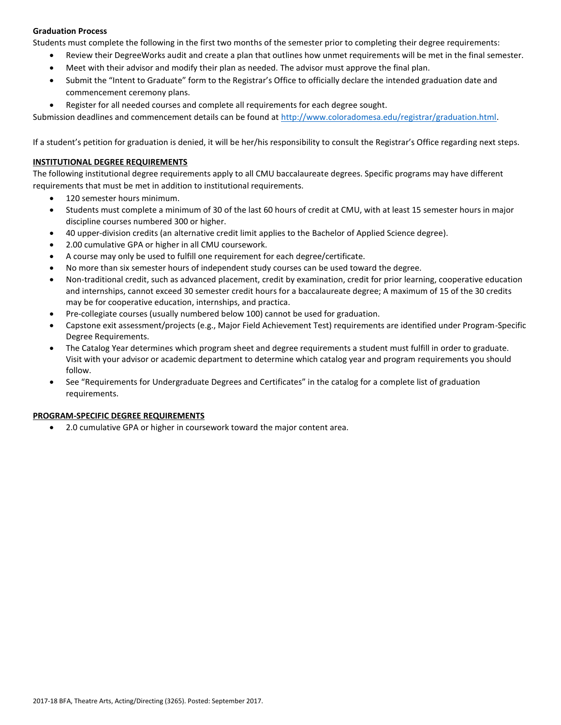# **Graduation Process**

Students must complete the following in the first two months of the semester prior to completing their degree requirements:

- Review their DegreeWorks audit and create a plan that outlines how unmet requirements will be met in the final semester.
- Meet with their advisor and modify their plan as needed. The advisor must approve the final plan.
- Submit the "Intent to Graduate" form to the Registrar's Office to officially declare the intended graduation date and commencement ceremony plans.
- Register for all needed courses and complete all requirements for each degree sought.

Submission deadlines and commencement details can be found at [http://www.coloradomesa.edu/registrar/graduation.html.](http://www.coloradomesa.edu/registrar/graduation.html)

If a student's petition for graduation is denied, it will be her/his responsibility to consult the Registrar's Office regarding next steps.

#### **INSTITUTIONAL DEGREE REQUIREMENTS**

The following institutional degree requirements apply to all CMU baccalaureate degrees. Specific programs may have different requirements that must be met in addition to institutional requirements.

- 120 semester hours minimum.
- Students must complete a minimum of 30 of the last 60 hours of credit at CMU, with at least 15 semester hours in major discipline courses numbered 300 or higher.
- 40 upper-division credits (an alternative credit limit applies to the Bachelor of Applied Science degree).
- 2.00 cumulative GPA or higher in all CMU coursework.
- A course may only be used to fulfill one requirement for each degree/certificate.
- No more than six semester hours of independent study courses can be used toward the degree.
- Non-traditional credit, such as advanced placement, credit by examination, credit for prior learning, cooperative education and internships, cannot exceed 30 semester credit hours for a baccalaureate degree; A maximum of 15 of the 30 credits may be for cooperative education, internships, and practica.
- Pre-collegiate courses (usually numbered below 100) cannot be used for graduation.
- Capstone exit assessment/projects (e.g., Major Field Achievement Test) requirements are identified under Program-Specific Degree Requirements.
- The Catalog Year determines which program sheet and degree requirements a student must fulfill in order to graduate. Visit with your advisor or academic department to determine which catalog year and program requirements you should follow.
- See "Requirements for Undergraduate Degrees and Certificates" in the catalog for a complete list of graduation requirements.

# **PROGRAM-SPECIFIC DEGREE REQUIREMENTS**

2.0 cumulative GPA or higher in coursework toward the major content area.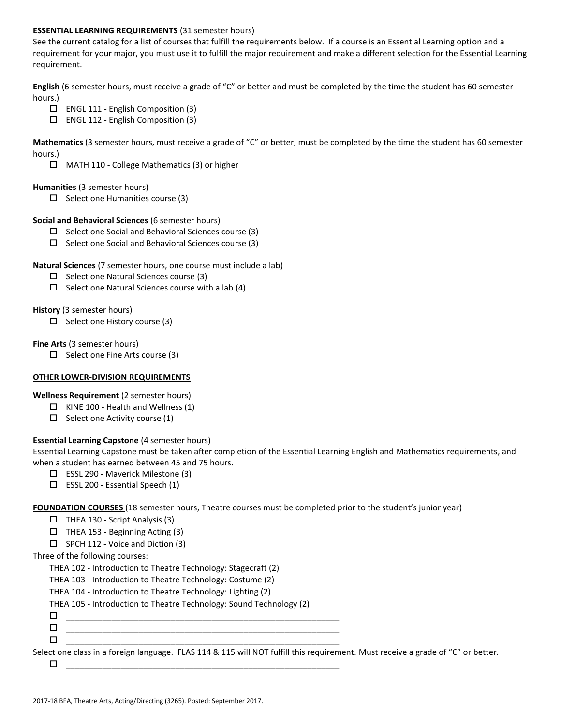#### **ESSENTIAL LEARNING REQUIREMENTS** (31 semester hours)

See the current catalog for a list of courses that fulfill the requirements below. If a course is an Essential Learning option and a requirement for your major, you must use it to fulfill the major requirement and make a different selection for the Essential Learning requirement.

**English** (6 semester hours, must receive a grade of "C" or better and must be completed by the time the student has 60 semester hours.)

- ENGL 111 English Composition (3)
- ENGL 112 English Composition (3)

**Mathematics** (3 semester hours, must receive a grade of "C" or better, must be completed by the time the student has 60 semester hours.)

MATH 110 - College Mathematics (3) or higher

#### **Humanities** (3 semester hours)

 $\Box$  Select one Humanities course (3)

#### **Social and Behavioral Sciences** (6 semester hours)

- $\Box$  Select one Social and Behavioral Sciences course (3)
- $\Box$  Select one Social and Behavioral Sciences course (3)

#### **Natural Sciences** (7 semester hours, one course must include a lab)

- $\square$  Select one Natural Sciences course (3)
- $\Box$  Select one Natural Sciences course with a lab (4)

#### **History** (3 semester hours)

 $\Box$  Select one History course (3)

# **Fine Arts** (3 semester hours)

 $\Box$  Select one Fine Arts course (3)

# **OTHER LOWER-DIVISION REQUIREMENTS**

**Wellness Requirement** (2 semester hours)

- $\Box$  KINE 100 Health and Wellness (1)
- $\Box$  Select one Activity course (1)

# **Essential Learning Capstone** (4 semester hours)

Essential Learning Capstone must be taken after completion of the Essential Learning English and Mathematics requirements, and when a student has earned between 45 and 75 hours.

- ESSL 290 Maverick Milestone (3)
- $\Box$  ESSL 200 Essential Speech (1)

**FOUNDATION COURSES** (18 semester hours, Theatre courses must be completed prior to the student's junior year)

- $\Box$  THEA 130 Script Analysis (3)
- $\Box$  THEA 153 Beginning Acting (3)
- $\square$  SPCH 112 Voice and Diction (3)

# Three of the following courses:

THEA 102 - Introduction to Theatre Technology: Stagecraft (2)

THEA 103 - Introduction to Theatre Technology: Costume (2)

THEA 104 - Introduction to Theatre Technology: Lighting (2)

THEA 105 - Introduction to Theatre Technology: Sound Technology (2)

- \_\_\_\_\_\_\_\_\_\_\_\_\_\_\_\_\_\_\_\_\_\_\_\_\_\_\_\_\_\_\_\_\_\_\_\_\_\_\_\_\_\_\_\_\_\_\_\_\_\_\_\_\_\_\_\_\_\_\_\_ \_\_\_\_\_\_\_\_\_\_\_\_\_\_\_\_\_\_\_\_\_\_\_\_\_\_\_\_\_\_\_\_\_\_\_\_\_\_\_\_\_\_\_\_\_\_\_\_\_\_\_\_\_\_\_\_\_\_\_\_
- $\Box$   $\underline{\hspace{1cm}}$   $\underline{\hspace{1cm}}$   $\underline{\hspace{1cm}}$   $\underline{\hspace{1cm}}$   $\overline{\hspace{1cm}}$   $\overline{\hspace{1cm}}$   $\overline{\hspace{1cm}}$   $\overline{\hspace{1cm}}$   $\overline{\hspace{1cm}}$   $\overline{\hspace{1cm}}$   $\overline{\hspace{1cm}}$   $\overline{\hspace{1cm}}$   $\overline{\hspace{1cm}}$   $\overline{\hspace{1cm}}$   $\overline{\hspace{1cm}}$   $\overline{\hspace{1cm}}$   $\overline{\hspace{1$

Select one class in a foreign language. FLAS 114 & 115 will NOT fulfill this requirement. Must receive a grade of "C" or better.

\_\_\_\_\_\_\_\_\_\_\_\_\_\_\_\_\_\_\_\_\_\_\_\_\_\_\_\_\_\_\_\_\_\_\_\_\_\_\_\_\_\_\_\_\_\_\_\_\_\_\_\_\_\_\_\_\_\_\_\_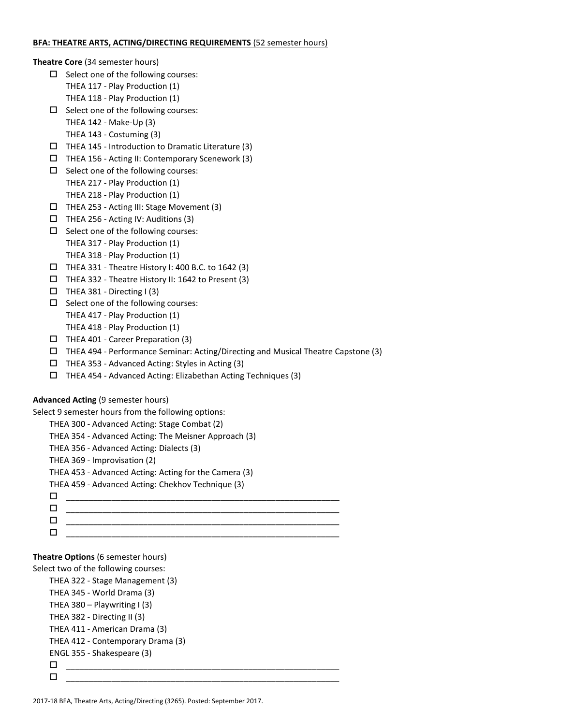#### **BFA: THEATRE ARTS, ACTING/DIRECTING REQUIREMENTS** (52 semester hours)

**Theatre Core** (34 semester hours)

- $\square$  Select one of the following courses: THEA 117 - Play Production (1) THEA 118 - Play Production (1)
- $\square$  Select one of the following courses:
	- THEA 142 Make-Up (3)
	- THEA 143 Costuming (3)
- $\Box$  THEA 145 Introduction to Dramatic Literature (3)
- $\Box$  THEA 156 Acting II: Contemporary Scenework (3)
- $\square$  Select one of the following courses: THEA 217 - Play Production (1) THEA 218 - Play Production (1)
- THEA 253 Acting III: Stage Movement (3)
- $\Box$  THEA 256 Acting IV: Auditions (3)
- $\Box$  Select one of the following courses: THEA 317 - Play Production (1) THEA 318 - Play Production (1)
- $\Box$  THEA 331 Theatre History I: 400 B.C. to 1642 (3)
- THEA 332 Theatre History II: 1642 to Present (3)
- $\Box$  THEA 381 Directing I (3)
- $\Box$  Select one of the following courses:
	- THEA 417 Play Production (1)
	- THEA 418 Play Production (1)
- $\Box$  THEA 401 Career Preparation (3)
- THEA 494 Performance Seminar: Acting/Directing and Musical Theatre Capstone (3)
- $\Box$  THEA 353 Advanced Acting: Styles in Acting (3)
- THEA 454 Advanced Acting: Elizabethan Acting Techniques (3)

# **Advanced Acting** (9 semester hours)

Select 9 semester hours from the following options:

- THEA 300 Advanced Acting: Stage Combat (2)
- THEA 354 Advanced Acting: The Meisner Approach (3)
- THEA 356 Advanced Acting: Dialects (3)
- THEA 369 Improvisation (2)
- THEA 453 Advanced Acting: Acting for the Camera (3)
- THEA 459 Advanced Acting: Chekhov Technique (3)
- \_\_\_\_\_\_\_\_\_\_\_\_\_\_\_\_\_\_\_\_\_\_\_\_\_\_\_\_\_\_\_\_\_\_\_\_\_\_\_\_\_\_\_\_\_\_\_\_\_\_\_\_\_\_\_\_\_\_\_\_ \_\_\_\_\_\_\_\_\_\_\_\_\_\_\_\_\_\_\_\_\_\_\_\_\_\_\_\_\_\_\_\_\_\_\_\_\_\_\_\_\_\_\_\_\_\_\_\_\_\_\_\_\_\_\_\_\_\_\_\_ \_\_\_\_\_\_\_\_\_\_\_\_\_\_\_\_\_\_\_\_\_\_\_\_\_\_\_\_\_\_\_\_\_\_\_\_\_\_\_\_\_\_\_\_\_\_\_\_\_\_\_\_\_\_\_\_\_\_\_\_ \_\_\_\_\_\_\_\_\_\_\_\_\_\_\_\_\_\_\_\_\_\_\_\_\_\_\_\_\_\_\_\_\_\_\_\_\_\_\_\_\_\_\_\_\_\_\_\_\_\_\_\_\_\_\_\_\_\_\_\_

# **Theatre Options** (6 semester hours)

```
Select two of the following courses:
```

```
THEA 322 - Stage Management (3)
THEA 345 - World Drama (3)
THEA 380 – Playwriting I(3)THEA 382 - Directing II (3)
THEA 411 - American Drama (3)
THEA 412 - Contemporary Drama (3)
ENGL 355 - Shakespeare (3)
 ____________________________________________________________
 ____________________________________________________________
```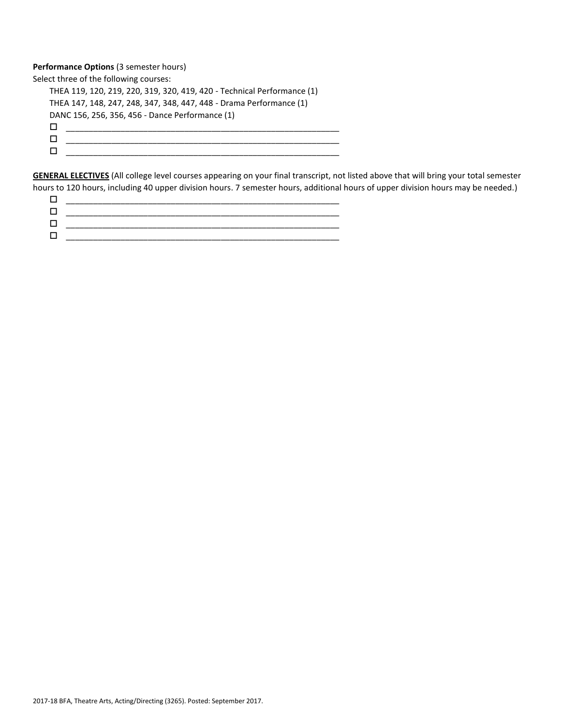# **Performance Options** (3 semester hours)

Select three of the following courses: THEA 119, 120, 219, 220, 319, 320, 419, 420 - Technical Performance (1) THEA 147, 148, 247, 248, 347, 348, 447, 448 - Drama Performance (1) DANC 156, 256, 356, 456 - Dance Performance (1) \_\_\_\_\_\_\_\_\_\_\_\_\_\_\_\_\_\_\_\_\_\_\_\_\_\_\_\_\_\_\_\_\_\_\_\_\_\_\_\_\_\_\_\_\_\_\_\_\_\_\_\_\_\_\_\_\_\_\_\_ \_\_\_\_\_\_\_\_\_\_\_\_\_\_\_\_\_\_\_\_\_\_\_\_\_\_\_\_\_\_\_\_\_\_\_\_\_\_\_\_\_\_\_\_\_\_\_\_\_\_\_\_\_\_\_\_\_\_\_\_ \_\_\_\_\_\_\_\_\_\_\_\_\_\_\_\_\_\_\_\_\_\_\_\_\_\_\_\_\_\_\_\_\_\_\_\_\_\_\_\_\_\_\_\_\_\_\_\_\_\_\_\_\_\_\_\_\_\_\_\_

**GENERAL ELECTIVES** (All college level courses appearing on your final transcript, not listed above that will bring your total semester hours to 120 hours, including 40 upper division hours. 7 semester hours, additional hours of upper division hours may be needed.)

| _______ |
|---------|
|         |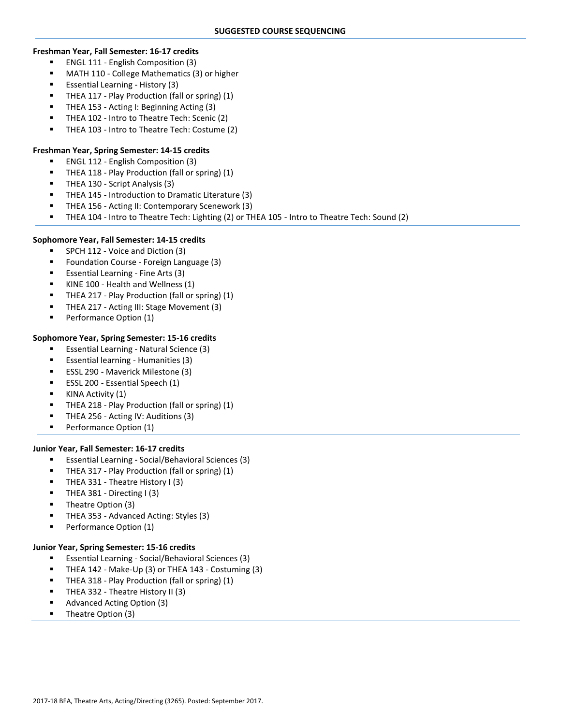#### **Freshman Year, Fall Semester: 16-17 credits**

- ENGL 111 English Composition (3)
- MATH 110 College Mathematics (3) or higher
- Essential Learning History (3)
- THEA 117 Play Production (fall or spring) (1)
- THEA 153 Acting I: Beginning Acting (3)
- THEA 102 Intro to Theatre Tech: Scenic (2)
- THEA 103 Intro to Theatre Tech: Costume (2)

# **Freshman Year, Spring Semester: 14-15 credits**

- ENGL 112 English Composition (3)
- THEA 118 Play Production (fall or spring) (1)
- THEA 130 Script Analysis (3)
- THEA 145 Introduction to Dramatic Literature (3)
- THEA 156 Acting II: Contemporary Scenework (3)
- THEA 104 Intro to Theatre Tech: Lighting (2) or THEA 105 Intro to Theatre Tech: Sound (2)

#### **Sophomore Year, Fall Semester: 14-15 credits**

- **SPCH 112 Voice and Diction (3)**
- **F** Foundation Course Foreign Language (3)
- Essential Learning Fine Arts (3)
- KINE 100 Health and Wellness (1)
- THEA 217 Play Production (fall or spring) (1)
- **THEA 217 Acting III: Stage Movement (3)**
- **Performance Option (1)**

# **Sophomore Year, Spring Semester: 15-16 credits**

- **Essential Learning Natural Science (3)**
- **Essential learning Humanities (3)**
- ESSL 290 Maverick Milestone (3)
- ESSL 200 Essential Speech (1)
- KINA Activity (1)
- THEA 218 Play Production (fall or spring) (1)
- THEA 256 Acting IV: Auditions (3)
- **Performance Option (1)**

# **Junior Year, Fall Semester: 16-17 credits**

- Essential Learning Social/Behavioral Sciences (3)
- THEA 317 Play Production (fall or spring) (1)
- **THEA 331 Theatre History I (3)**
- THEA 381 Directing I (3)
- Theatre Option (3)
- THEA 353 Advanced Acting: Styles (3)
- Performance Option (1)

# **Junior Year, Spring Semester: 15-16 credits**

- Essential Learning Social/Behavioral Sciences (3)
- THEA 142 Make-Up (3) or THEA 143 Costuming (3)
- THEA 318 Play Production (fall or spring) (1)
- THEA 332 Theatre History II (3)
- Advanced Acting Option (3)
- Theatre Option (3)